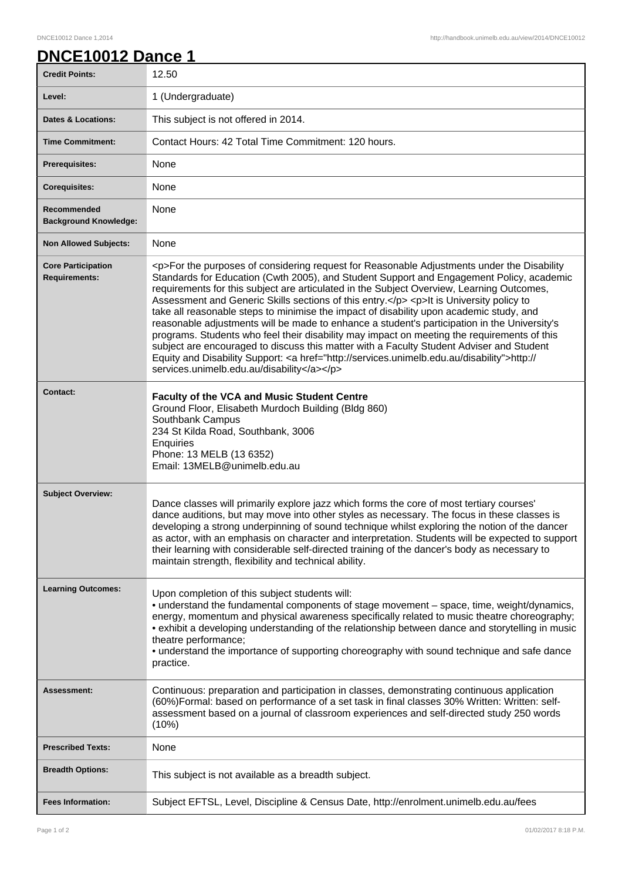## DNCE10012 Dance 1,2014 http://handbook.unimelb.edu.au/view/2014/DNCE10012

|  | <b>DNCE10012 Dance 1</b> |  |
|--|--------------------------|--|
|  |                          |  |

| <b>Credit Points:</b>                             | 12.50                                                                                                                                                                                                                                                                                                                                                                                                                                                                                                                                                                                                                                                                                                                                                                                                                                                                                                                        |
|---------------------------------------------------|------------------------------------------------------------------------------------------------------------------------------------------------------------------------------------------------------------------------------------------------------------------------------------------------------------------------------------------------------------------------------------------------------------------------------------------------------------------------------------------------------------------------------------------------------------------------------------------------------------------------------------------------------------------------------------------------------------------------------------------------------------------------------------------------------------------------------------------------------------------------------------------------------------------------------|
| Level:                                            | 1 (Undergraduate)                                                                                                                                                                                                                                                                                                                                                                                                                                                                                                                                                                                                                                                                                                                                                                                                                                                                                                            |
| <b>Dates &amp; Locations:</b>                     | This subject is not offered in 2014.                                                                                                                                                                                                                                                                                                                                                                                                                                                                                                                                                                                                                                                                                                                                                                                                                                                                                         |
| <b>Time Commitment:</b>                           | Contact Hours: 42 Total Time Commitment: 120 hours.                                                                                                                                                                                                                                                                                                                                                                                                                                                                                                                                                                                                                                                                                                                                                                                                                                                                          |
| <b>Prerequisites:</b>                             | None                                                                                                                                                                                                                                                                                                                                                                                                                                                                                                                                                                                                                                                                                                                                                                                                                                                                                                                         |
| <b>Corequisites:</b>                              | None                                                                                                                                                                                                                                                                                                                                                                                                                                                                                                                                                                                                                                                                                                                                                                                                                                                                                                                         |
| Recommended<br><b>Background Knowledge:</b>       | None                                                                                                                                                                                                                                                                                                                                                                                                                                                                                                                                                                                                                                                                                                                                                                                                                                                                                                                         |
| <b>Non Allowed Subjects:</b>                      | None                                                                                                                                                                                                                                                                                                                                                                                                                                                                                                                                                                                                                                                                                                                                                                                                                                                                                                                         |
| <b>Core Participation</b><br><b>Requirements:</b> | <p>For the purposes of considering request for Reasonable Adjustments under the Disability<br/>Standards for Education (Cwth 2005), and Student Support and Engagement Policy, academic<br/>requirements for this subject are articulated in the Subject Overview, Learning Outcomes,<br/>Assessment and Generic Skills sections of this entry.</p> <p>lt is University policy to<br/>take all reasonable steps to minimise the impact of disability upon academic study, and<br/>reasonable adjustments will be made to enhance a student's participation in the University's<br/>programs. Students who feel their disability may impact on meeting the requirements of this<br/>subject are encouraged to discuss this matter with a Faculty Student Adviser and Student<br/>Equity and Disability Support: &lt; a href="http://services.unimelb.edu.au/disability"&gt;http://<br/>services.unimelb.edu.au/disability</p> |
| <b>Contact:</b>                                   | <b>Faculty of the VCA and Music Student Centre</b><br>Ground Floor, Elisabeth Murdoch Building (Bldg 860)<br>Southbank Campus<br>234 St Kilda Road, Southbank, 3006<br>Enquiries<br>Phone: 13 MELB (13 6352)<br>Email: 13MELB@unimelb.edu.au                                                                                                                                                                                                                                                                                                                                                                                                                                                                                                                                                                                                                                                                                 |
| <b>Subject Overview:</b>                          | Dance classes will primarily explore jazz which forms the core of most tertiary courses'<br>dance auditions, but may move into other styles as necessary. The focus in these classes is<br>developing a strong underpinning of sound technique whilst exploring the notion of the dancer<br>as actor, with an emphasis on character and interpretation. Students will be expected to support<br>their learning with considerable self-directed training of the dancer's body as necessary to<br>maintain strength, flexibility and technical ability.                                                                                                                                                                                                                                                                                                                                                                        |
| <b>Learning Outcomes:</b>                         | Upon completion of this subject students will:<br>• understand the fundamental components of stage movement - space, time, weight/dynamics,<br>energy, momentum and physical awareness specifically related to music theatre choreography;<br>• exhibit a developing understanding of the relationship between dance and storytelling in music<br>theatre performance;<br>• understand the importance of supporting choreography with sound technique and safe dance<br>practice.                                                                                                                                                                                                                                                                                                                                                                                                                                            |
| <b>Assessment:</b>                                | Continuous: preparation and participation in classes, demonstrating continuous application<br>(60%)Formal: based on performance of a set task in final classes 30% Written: Written: self-<br>assessment based on a journal of classroom experiences and self-directed study 250 words<br>(10%)                                                                                                                                                                                                                                                                                                                                                                                                                                                                                                                                                                                                                              |
| <b>Prescribed Texts:</b>                          | None                                                                                                                                                                                                                                                                                                                                                                                                                                                                                                                                                                                                                                                                                                                                                                                                                                                                                                                         |
| <b>Breadth Options:</b>                           | This subject is not available as a breadth subject.                                                                                                                                                                                                                                                                                                                                                                                                                                                                                                                                                                                                                                                                                                                                                                                                                                                                          |
| <b>Fees Information:</b>                          | Subject EFTSL, Level, Discipline & Census Date, http://enrolment.unimelb.edu.au/fees                                                                                                                                                                                                                                                                                                                                                                                                                                                                                                                                                                                                                                                                                                                                                                                                                                         |